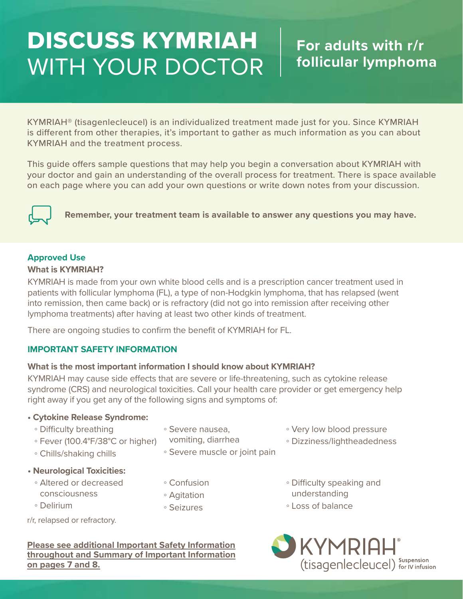# DISCUSS KYMRIAH WITH YOUR DOCTOR

KYMRIAH® (tisagenlecleucel) is an individualized treatment made just for you. Since KYMRIAH is different from other therapies, it's important to gather as much information as you can about KYMRIAH and the treatment process.

This guide offers sample questions that may help you begin a conversation about KYMRIAH with your doctor and gain an understanding of the overall process for treatment. There is space available on each page where you can add your own questions or write down notes from your discussion.



**Remember, your treatment team is available to answer any questions you may have.**

# **Approved Use**

### **What is KYMRIAH?**

KYMRIAH is made from your own white blood cells and is a prescription cancer treatment used in patients with follicular lymphoma (FL), a type of non-Hodgkin lymphoma, that has relapsed (went into remission, then came back) or is refractory (did not go into remission after receiving other lymphoma treatments) after having at least two other kinds of treatment.

There are ongoing studies to confirm the benefit of KYMRIAH for FL.

# **IMPORTANT SAFETY INFORMATION**

# **What is the most important information I should know about KYMRIAH?**

KYMRIAH may cause side effects that are severe or life-threatening, such as cytokine release syndrome (CRS) and neurological toxicities. Call your health care provider or get emergency help right away if you get any of the following signs and symptoms of:

# **• Cytokine Release Syndrome:**

- Difficulty breathing
- Fever (100.4°F/38°C or higher)
- Chills/shaking chills
- **Neurological Toxicities:**
	- Altered or decreased consciousness
- Confusion

◦ Severe nausea, vomiting, diarrhea

- Agitation
- Seizures
- Very low blood pressure
- Dizziness/lightheadedness
- Difficulty speaking and understanding
- Loss of balance

r/r, relapsed or refractory.

◦ Delirium

**Please see additional Important Safety Information throughout and Summary of Important Information on pages 7 and 8.**



◦ Severe muscle or joint pain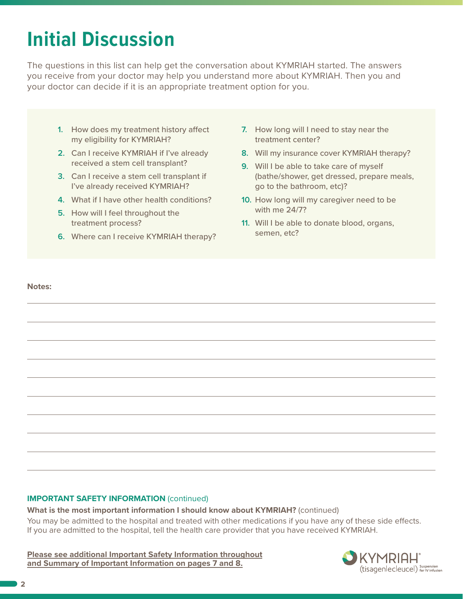# **Initial Discussion**

The questions in this list can help get the conversation about KYMRIAH started. The answers you receive from your doctor may help you understand more about KYMRIAH. Then you and your doctor can decide if it is an appropriate treatment option for you.

- **1.** How does my treatment history affect my eligibility for KYMRIAH?
- **2.** Can I receive KYMRIAH if I've already received a stem cell transplant?
- **3.** Can I receive a stem cell transplant if I've already received KYMRIAH?
- **4.** What if I have other health conditions?
- **5.** How will I feel throughout the treatment process?
- **6.** Where can I receive KYMRIAH therapy?
- **7.** How long will I need to stay near the treatment center?
- **8.** Will my insurance cover KYMRIAH therapy?
- **9.** Will I be able to take care of myself (bathe/shower, get dressed, prepare meals, go to the bathroom, etc)?
- **10.** How long will my caregiver need to be with me 24/7?
- **11.** Will I be able to donate blood, organs, semen, etc?

### **Notes:**

# **IMPORTANT SAFETY INFORMATION (continued)**

**What is the most important information I should know about KYMRIAH?** (continued)

You may be admitted to the hospital and treated with other medications if you have any of these side effects. If you are admitted to the hospital, tell the health care provider that you have received KYMRIAH.

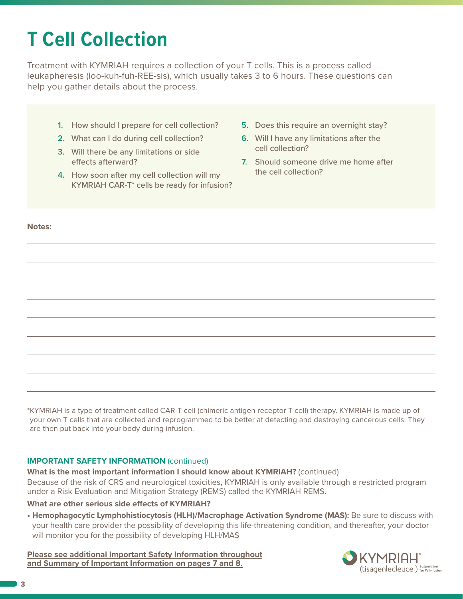# **T Cell Collection**

Treatment with KYMRIAH requires a collection of your T cells. This is a process called leukapheresis (loo-kuh-fuh-REE-sis), which usually takes 3 to 6 hours. These questions can help you gather details about the process.

- **1.** How should I prepare for cell collection?
- **2.** What can I do during cell collection?
- **3.** Will there be any limitations or side effects afterward?
- **4.** How soon after my cell collection will my KYMRIAH CAR-T\* cells be ready for infusion?
- **5.** Does this require an overnight stay?
- **6.** Will I have any limitations after the cell collection?
- **7.** Should someone drive me home after the cell collection?

**Notes:** 

\*KYMRIAH is a type of treatment called CAR-T cell (chimeric antigen receptor T cell) therapy. KYMRIAH is made up of your own T cells that are collected and reprogrammed to be better at detecting and destroying cancerous cells. They are then put back into your body during infusion.

# **IMPORTANT SAFETY INFORMATION** (continued)

**What is the most important information I should know about KYMRIAH?** (continued) Because of the risk of CRS and neurological toxicities, KYMRIAH is only available through a restricted program under a Risk Evaluation and Mitigation Strategy (REMS) called the KYMRIAH REMS.

### **What are other serious side effects of KYMRIAH?**

**• Hemophagocytic Lymphohistiocytosis (HLH)/Macrophage Activation Syndrome (MAS):** Be sure to discuss with your health care provider the possibility of developing this life-threatening condition, and thereafter, your doctor will monitor you for the possibility of developing HLH/MAS

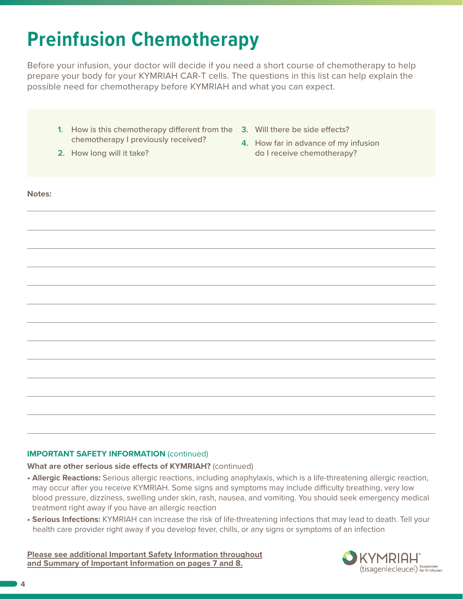# **Preinfusion Chemotherapy**

Before your infusion, your doctor will decide if you need a short course of chemotherapy to help prepare your body for your KYMRIAH CAR-T cells. The questions in this list can help explain the possible need for chemotherapy before KYMRIAH and what you can expect.

- **1.** How is this chemotherapy different from the **3.** Will there be side effects? chemotherapy I previously received?
- **2.** How long will it take?
- 
- **4.** How far in advance of my infusion do I receive chemotherapy?

### **Notes:**

# **IMPORTANT SAFETY INFORMATION** (continued)

**What are other serious side effects of KYMRIAH?** (continued)

- **• Allergic Reactions:** Serious allergic reactions, including anaphylaxis, which is a life-threatening allergic reaction, may occur after you receive KYMRIAH. Some signs and symptoms may include difficulty breathing, very low blood pressure, dizziness, swelling under skin, rash, nausea, and vomiting. You should seek emergency medical treatment right away if you have an allergic reaction
- **Serious Infections:** KYMRIAH can increase the risk of life-threatening infections that may lead to death. Tell your health care provider right away if you develop fever, chills, or any signs or symptoms of an infection

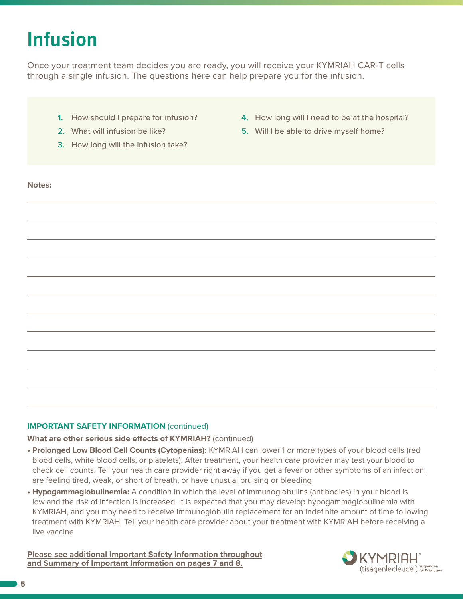# **Infusion**

Once your treatment team decides you are ready, you will receive your KYMRIAH CAR-T cells through a single infusion. The questions here can help prepare you for the infusion.

- **1.** How should I prepare for infusion?
- **2.** What will infusion be like?
- **3.** How long will the infusion take?
- **4.** How long will I need to be at the hospital?
- **5.** Will I be able to drive myself home?

#### **Notes:**

# **IMPORTANT SAFETY INFORMATION** (continued)

### **What are other serious side effects of KYMRIAH?** (continued)

- **• Prolonged Low Blood Cell Counts (Cytopenias):** KYMRIAH can lower 1 or more types of your blood cells (red blood cells, white blood cells, or platelets). After treatment, your health care provider may test your blood to check cell counts. Tell your health care provider right away if you get a fever or other symptoms of an infection, are feeling tired, weak, or short of breath, or have unusual bruising or bleeding
- **• Hypogammaglobulinemia:** A condition in which the level of immunoglobulins (antibodies) in your blood is low and the risk of infection is increased. It is expected that you may develop hypogammaglobulinemia with KYMRIAH, and you may need to receive immunoglobulin replacement for an indefinite amount of time following treatment with KYMRIAH. Tell your health care provider about your treatment with KYMRIAH before receiving a live vaccine

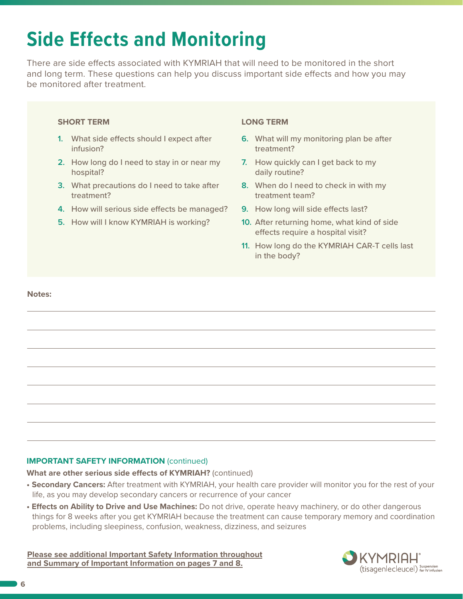# **Side Effects and Monitoring**

There are side effects associated with KYMRIAH that will need to be monitored in the short and long term. These questions can help you discuss important side effects and how you may be monitored after treatment.

### **SHORT TERM**

- **1.** What side effects should I expect after infusion?
- **2.** How long do I need to stay in or near my hospital?
- **3.** What precautions do I need to take after treatment?
- **4.** How will serious side effects be managed?
- **5.** How will I know KYMRIAH is working?

### **LONG TERM**

- **6.** What will my monitoring plan be after treatment?
- **7.** How quickly can I get back to my daily routine?
- **8.** When do I need to check in with my treatment team?
- **9.** How long will side effects last?
- **10.** After returning home, what kind of side effects require a hospital visit?
- **11.** How long do the KYMRIAH CAR-T cells last in the body?

#### **Notes:**

# **IMPORTANT SAFETY INFORMATION** (continued)

**What are other serious side effects of KYMRIAH?** (continued)

- **Secondary Cancers:** After treatment with KYMRIAH, your health care provider will monitor you for the rest of your life, as you may develop secondary cancers or recurrence of your cancer
- **Effects on Ability to Drive and Use Machines:** Do not drive, operate heavy machinery, or do other dangerous things for 8 weeks after you get KYMRIAH because the treatment can cause temporary memory and coordination problems, including sleepiness, confusion, weakness, dizziness, and seizures

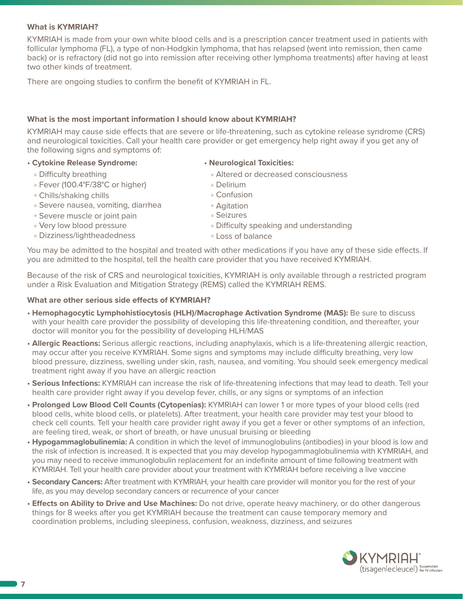# **What is KYMRIAH?**

KYMRIAH is made from your own white blood cells and is a prescription cancer treatment used in patients with follicular lymphoma (FL), a type of non-Hodgkin lymphoma, that has relapsed (went into remission, then came back) or is refractory (did not go into remission after receiving other lymphoma treatments) after having at least two other kinds of treatment.

There are ongoing studies to confirm the benefit of KYMRIAH in FL.

### **What is the most important information I should know about KYMRIAH?**

KYMRIAH may cause side effects that are severe or life-threatening, such as cytokine release syndrome (CRS) and neurological toxicities. Call your health care provider or get emergency help right away if you get any of the following signs and symptoms of:

### • **Cytokine Release Syndrome:** • **Neurological Toxicities:**

- 
- Fever (100.4°F/38°C or higher) Delirium
- Chills/shaking chills Confusion
- Severe nausea, vomiting, diarrhea Agitation
- Severe muscle or joint pain Seizures
- 
- Dizziness/lightheadedness Loss of balance
- Difficulty breathing Altered or decreased consciousness
	-
	-
	-
	-
- Very low blood pressure Difficulty speaking and understanding
	-

You may be admitted to the hospital and treated with other medications if you have any of these side effects. If you are admitted to the hospital, tell the health care provider that you have received KYMRIAH.

Because of the risk of CRS and neurological toxicities, KYMRIAH is only available through a restricted program under a Risk Evaluation and Mitigation Strategy (REMS) called the KYMRIAH REMS.

### **What are other serious side effects of KYMRIAH?**

- **Hemophagocytic Lymphohistiocytosis (HLH)/Macrophage Activation Syndrome (MAS):** Be sure to discuss with your health care provider the possibility of developing this life-threatening condition, and thereafter, your doctor will monitor you for the possibility of developing HLH/MAS
- **Allergic Reactions:** Serious allergic reactions, including anaphylaxis, which is a life-threatening allergic reaction, may occur after you receive KYMRIAH. Some signs and symptoms may include difficulty breathing, very low blood pressure, dizziness, swelling under skin, rash, nausea, and vomiting. You should seek emergency medical treatment right away if you have an allergic reaction
- **Serious Infections:** KYMRIAH can increase the risk of life-threatening infections that may lead to death. Tell your health care provider right away if you develop fever, chills, or any signs or symptoms of an infection
- **Prolonged Low Blood Cell Counts (Cytopenias):** KYMRIAH can lower 1 or more types of your blood cells (red blood cells, white blood cells, or platelets). After treatment, your health care provider may test your blood to check cell counts. Tell your health care provider right away if you get a fever or other symptoms of an infection, are feeling tired, weak, or short of breath, or have unusual bruising or bleeding
- **Hypogammaglobulinemia:** A condition in which the level of immunoglobulins (antibodies) in your blood is low and the risk of infection is increased. It is expected that you may develop hypogammaglobulinemia with KYMRIAH, and you may need to receive immunoglobulin replacement for an indefinite amount of time following treatment with KYMRIAH. Tell your health care provider about your treatment with KYMRIAH before receiving a live vaccine
- **Secondary Cancers:** After treatment with KYMRIAH, your health care provider will monitor you for the rest of your life, as you may develop secondary cancers or recurrence of your cancer
- **Effects on Ability to Drive and Use Machines:** Do not drive, operate heavy machinery, or do other dangerous things for 8 weeks after you get KYMRIAH because the treatment can cause temporary memory and coordination problems, including sleepiness, confusion, weakness, dizziness, and seizures